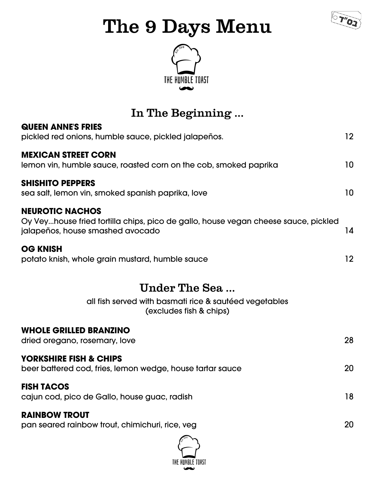

# The 9 Days Menu



# Under The Sea ...

all fish served with basmati rice & sautéed vegetables (excludes fish & chips)

#### **WHOLE GRILLED BRANZINO**

dried oregano, rosemary, love 28

#### **YORKSHIRE FISH & CHIPS**

beer battered cod, fries, lemon wedge, house tartar sauce 20

#### **FISH TACOS**

cajun cod, pico de Gallo, house guac, radish 18

#### **RAINBOW TROUT**

pan seared rainbow trout, chimichuri, rice, veg 20







In The Beginning ...

### **QUEEN ANNE'S FRIES**

pickled red onions, humble sauce, pickled jalapeños. 12

#### **MEXICAN STREET CORN**

lemon vin, humble sauce, roasted corn on the cob, smoked paprika 10

#### **SHISHITO PEPPERS**

sea salt, lemon vin, smoked spanish paprika, love

#### **NEUROTIC NACHOS**

Oy Vey...house fried tortilla chips, pico de gallo, house vegan cheese sauce, pickled jalapeños, house smashed avocado 14

#### **OG KNISH**

potato knish, whole grain mustard, humble sauce 12